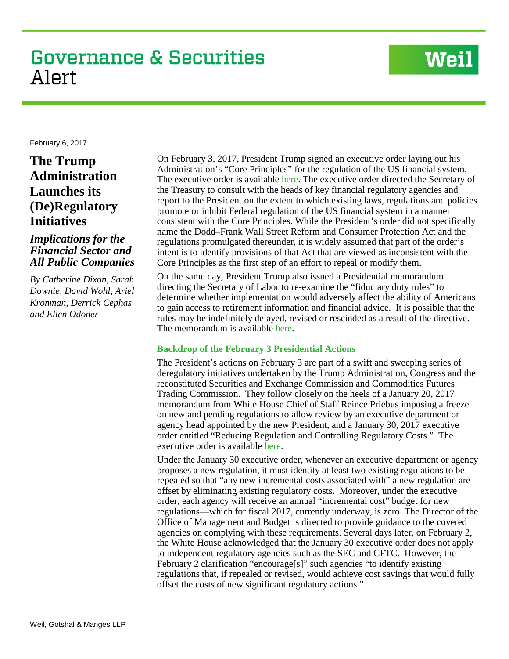# **Governance & Securities** Alert

# **Weil**

February 6, 2017

**The Trump Administration Launches its (De)Regulatory Initiatives**

## *Implications for the Financial Sector and All Public Companies*

*By Catherine Dixon, Sarah Downie, David Wohl, Ariel Kronman, Derrick Cephas and Ellen Odoner*

On February 3, 2017, President Trump signed an executive order laying out his Administration's "Core Principles" for the regulation of the US financial system. The executive order is available [here.](https://www.whitehouse.gov/the-press-office/2017/02/03/presidential-executive-order-core-principles-regulating-united-states) The executive order directed the Secretary of the Treasury to consult with the heads of key financial regulatory agencies and report to the President on the extent to which existing laws, regulations and policies promote or inhibit Federal regulation of the US financial system in a manner consistent with the Core Principles. While the President's order did not specifically name the Dodd–Frank Wall Street Reform and Consumer Protection Act and the regulations promulgated thereunder, it is widely assumed that part of the order's intent is to identify provisions of that Act that are viewed as inconsistent with the Core Principles as the first step of an effort to repeal or modify them.

On the same day, President Trump also issued a Presidential memorandum directing the Secretary of Labor to re-examine the "fiduciary duty rules" to determine whether implementation would adversely affect the ability of Americans to gain access to retirement information and financial advice. It is possible that the rules may be indefinitely delayed, revised or rescinded as a result of the directive. The memorandum is available [here.](https://www.whitehouse.gov/the-press-office/2017/02/03/presidential-memorandum-fiduciary-duty-rule)

### **Backdrop of the February 3 Presidential Actions**

The President's actions on February 3 are part of a swift and sweeping series of deregulatory initiatives undertaken by the Trump Administration, Congress and the reconstituted Securities and Exchange Commission and Commodities Futures Trading Commission. They follow closely on the heels of a January 20, 2017 memorandum from White House Chief of Staff Reince Priebus imposing a freeze on new and pending regulations to allow review by an executive department or agency head appointed by the new President, and a January 30, 2017 executive order entitled "Reducing Regulation and Controlling Regulatory Costs." The executive order is available [here.](https://www.whitehouse.gov/the-press-office/2017/01/30/presidential-executive-order-reducing-regulation-and-controlling)

Under the January 30 executive order, whenever an executive department or agency proposes a new regulation, it must identity at least two existing regulations to be repealed so that "any new incremental costs associated with" a new regulation are offset by eliminating existing regulatory costs. Moreover, under the executive order, each agency will receive an annual "incremental cost" budget for new regulations—which for fiscal 2017, currently underway, is zero. The Director of the Office of Management and Budget is directed to provide guidance to the covered agencies on complying with these requirements. Several days later, on February 2, the White House acknowledged that the January 30 executive order does not apply to independent regulatory agencies such as the SEC and CFTC. However, the February 2 clarification "encourage[s]" such agencies "to identify existing regulations that, if repealed or revised, would achieve cost savings that would fully offset the costs of new significant regulatory actions."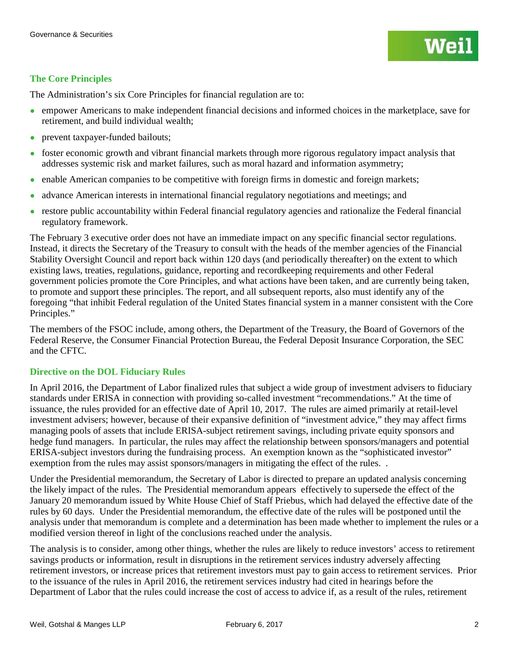### **The Core Principles**

The Administration's six Core Principles for financial regulation are to:

- empower Americans to make independent financial decisions and informed choices in the marketplace, save for retirement, and build individual wealth;
- prevent taxpayer-funded bailouts;
- foster economic growth and vibrant financial markets through more rigorous regulatory impact analysis that addresses systemic risk and market failures, such as moral hazard and information asymmetry;
- enable American companies to be competitive with foreign firms in domestic and foreign markets;
- advance American interests in international financial regulatory negotiations and meetings; and
- restore public accountability within Federal financial regulatory agencies and rationalize the Federal financial regulatory framework.

The February 3 executive order does not have an immediate impact on any specific financial sector regulations. Instead, it directs the Secretary of the Treasury to consult with the heads of the member agencies of the Financial Stability Oversight Council and report back within 120 days (and periodically thereafter) on the extent to which existing laws, treaties, regulations, guidance, reporting and recordkeeping requirements and other Federal government policies promote the Core Principles, and what actions have been taken, and are currently being taken, to promote and support these principles. The report, and all subsequent reports, also must identify any of the foregoing "that inhibit Federal regulation of the United States financial system in a manner consistent with the Core Principles."

The members of the FSOC include, among others, the Department of the Treasury, the Board of Governors of the Federal Reserve, the Consumer Financial Protection Bureau, the Federal Deposit Insurance Corporation, the SEC and the CFTC.

#### **Directive on the DOL Fiduciary Rules**

In April 2016, the Department of Labor finalized rules that subject a wide group of investment advisers to fiduciary standards under ERISA in connection with providing so-called investment "recommendations." At the time of issuance, the rules provided for an effective date of April 10, 2017. The rules are aimed primarily at retail-level investment advisers; however, because of their expansive definition of "investment advice," they may affect firms managing pools of assets that include ERISA-subject retirement savings, including private equity sponsors and hedge fund managers. In particular, the rules may affect the relationship between sponsors/managers and potential ERISA-subject investors during the fundraising process. An exemption known as the "sophisticated investor" exemption from the rules may assist sponsors/managers in mitigating the effect of the rules..

Under the Presidential memorandum, the Secretary of Labor is directed to prepare an updated analysis concerning the likely impact of the rules. The Presidential memorandum appears effectively to supersede the effect of the January 20 memorandum issued by White House Chief of Staff Priebus, which had delayed the effective date of the rules by 60 days. Under the Presidential memorandum, the effective date of the rules will be postponed until the analysis under that memorandum is complete and a determination has been made whether to implement the rules or a modified version thereof in light of the conclusions reached under the analysis.

The analysis is to consider, among other things, whether the rules are likely to reduce investors' access to retirement savings products or information, result in disruptions in the retirement services industry adversely affecting retirement investors, or increase prices that retirement investors must pay to gain access to retirement services. Prior to the issuance of the rules in April 2016, the retirement services industry had cited in hearings before the Department of Labor that the rules could increase the cost of access to advice if, as a result of the rules, retirement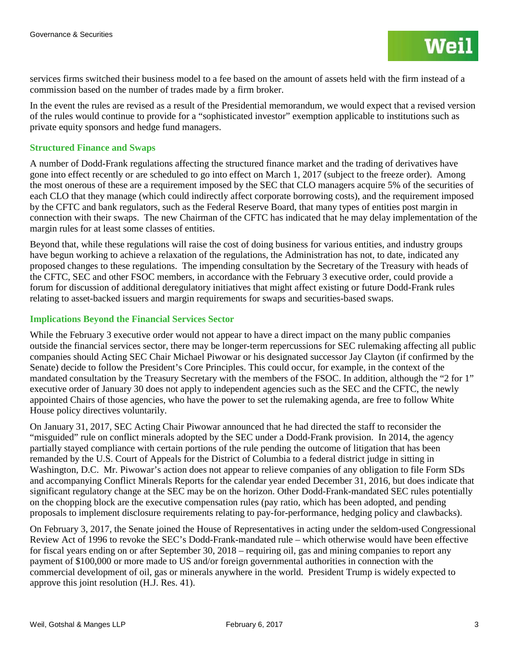services firms switched their business model to a fee based on the amount of assets held with the firm instead of a commission based on the number of trades made by a firm broker.

In the event the rules are revised as a result of the Presidential memorandum, we would expect that a revised version of the rules would continue to provide for a "sophisticated investor" exemption applicable to institutions such as private equity sponsors and hedge fund managers.

#### **Structured Finance and Swaps**

A number of Dodd-Frank regulations affecting the structured finance market and the trading of derivatives have gone into effect recently or are scheduled to go into effect on March 1, 2017 (subject to the freeze order). Among the most onerous of these are a requirement imposed by the SEC that CLO managers acquire 5% of the securities of each CLO that they manage (which could indirectly affect corporate borrowing costs), and the requirement imposed by the CFTC and bank regulators, such as the Federal Reserve Board, that many types of entities post margin in connection with their swaps. The new Chairman of the CFTC has indicated that he may delay implementation of the margin rules for at least some classes of entities.

Beyond that, while these regulations will raise the cost of doing business for various entities, and industry groups have begun working to achieve a relaxation of the regulations, the Administration has not, to date, indicated any proposed changes to these regulations. The impending consultation by the Secretary of the Treasury with heads of the CFTC, SEC and other FSOC members, in accordance with the February 3 executive order, could provide a forum for discussion of additional deregulatory initiatives that might affect existing or future Dodd-Frank rules relating to asset-backed issuers and margin requirements for swaps and securities-based swaps.

### **Implications Beyond the Financial Services Sector**

While the February 3 executive order would not appear to have a direct impact on the many public companies outside the financial services sector, there may be longer-term repercussions for SEC rulemaking affecting all public companies should Acting SEC Chair Michael Piwowar or his designated successor Jay Clayton (if confirmed by the Senate) decide to follow the President's Core Principles. This could occur, for example, in the context of the mandated consultation by the Treasury Secretary with the members of the FSOC. In addition, although the "2 for 1" executive order of January 30 does not apply to independent agencies such as the SEC and the CFTC, the newly appointed Chairs of those agencies, who have the power to set the rulemaking agenda, are free to follow White House policy directives voluntarily.

On January 31, 2017, SEC Acting Chair Piwowar announced that he had directed the staff to reconsider the "misguided" rule on conflict minerals adopted by the SEC under a Dodd-Frank provision. In 2014, the agency partially stayed compliance with certain portions of the rule pending the outcome of litigation that has been remanded by the U.S. Court of Appeals for the District of Columbia to a federal district judge in sitting in Washington, D.C. Mr. Piwowar's action does not appear to relieve companies of any obligation to file Form SDs and accompanying Conflict Minerals Reports for the calendar year ended December 31, 2016, but does indicate that significant regulatory change at the SEC may be on the horizon. Other Dodd-Frank-mandated SEC rules potentially on the chopping block are the executive compensation rules (pay ratio, which has been adopted, and pending proposals to implement disclosure requirements relating to pay-for-performance, hedging policy and clawbacks).

On February 3, 2017, the Senate joined the House of Representatives in acting under the seldom-used Congressional Review Act of 1996 to revoke the SEC's Dodd-Frank-mandated rule – which otherwise would have been effective for fiscal years ending on or after September 30, 2018 – requiring oil, gas and mining companies to report any payment of \$100,000 or more made to US and/or foreign governmental authorities in connection with the commercial development of oil, gas or minerals anywhere in the world. President Trump is widely expected to approve this joint resolution (H.J. Res. 41).